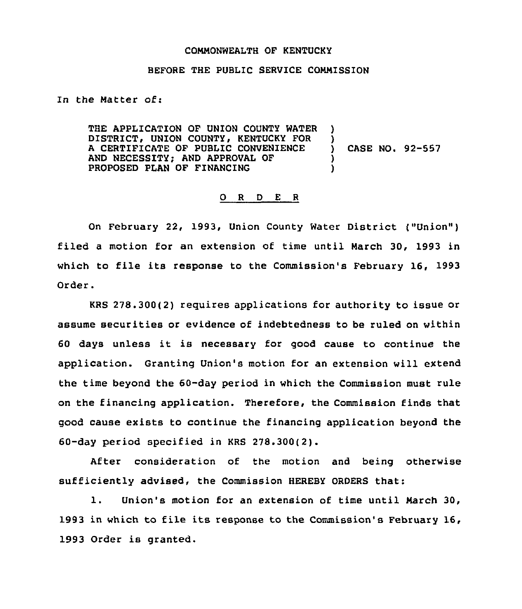## COMMONWEALTH OF KENTUCKY

## BEFORE THE PUBLIC SERVICE COMMISSION

In the Matter of:

THE APPLICATION OF UNION COUNTY WATER )<br>DISTRICT, UNION COUNTY, KENTUCKY FOR ) DISTRICT, UNION COUNTY, KENTUCKY FOR )<br>A CERTIFICATE OF PUBLIC CONVENIENCE ) <sup>A</sup> CERTIFICATE OF PUBLIC CONVENIENCE ) AND NECESSITY; AND APPROVAL OF  $\qquad \qquad )$ <br>PROPOSED PLAN OF FINANCING  $\qquad \qquad )$ PROPOSED PLAN OF FINANCING CASE NO. 92-557

## O R D E R

On February 22, 1993, Union County Water District ("Union" ) filed a motion for an extension of time until March 30, 1993 in which to file its response to the Commission's February 16, 1993 Order.

KRS 278.300(2) requires applications for authority to issue or assume securities or evidence of indebtedness to be ruled on within <sup>60</sup> days unless it is necessary for good cause to continue the application. Granting Union's motion for an extension will extend the time beyond the 60-day period in which the Commission must rule on the financing application. Therefore, the Commission finds that good cause exists to continue the financing application beyond the 60-day period specified in KRS 276.300(2).

After consideration of the motion and being otherwise sufficiently advised, the Commission HEREBY ORDERS that:

1. Union's motion for an extension of time until March 30, 1993 in which to file its response to the Commission's February 16, 1993 Order is granted.